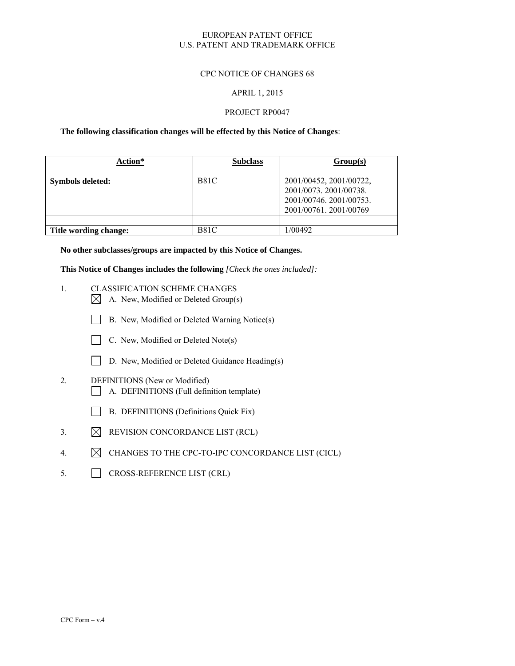## EUROPEAN PATENT OFFICE U.S. PATENT AND TRADEMARK OFFICE

## CPC NOTICE OF CHANGES 68

### APRIL 1, 2015

### PROJECT RP0047

## **The following classification changes will be effected by this Notice of Changes**:

| Action*               | <b>Subclass</b> | Group(s)                                                                                             |
|-----------------------|-----------------|------------------------------------------------------------------------------------------------------|
| Symbols deleted:      | <b>B81C</b>     | 2001/00452, 2001/00722,<br>2001/0073. 2001/00738.<br>2001/00746.2001/00753.<br>2001/00761.2001/00769 |
|                       |                 |                                                                                                      |
| Title wording change: | <b>B81C</b>     | 1/00492                                                                                              |

**No other subclasses/groups are impacted by this Notice of Changes.** 

**This Notice of Changes includes the following** *[Check the ones included]:*

- 1. CLASSIFICATION SCHEME CHANGES
	- $\boxtimes$  A. New, Modified or Deleted Group(s)
	- B. New, Modified or Deleted Warning Notice(s)



- $\Box$  C. New, Modified or Deleted Note(s)
- D. New, Modified or Deleted Guidance Heading(s)
- 2. DEFINITIONS (New or Modified)
	- A. DEFINITIONS (Full definition template)
	- B. DEFINITIONS (Definitions Quick Fix)
- 3.  $\boxtimes$  REVISION CONCORDANCE LIST (RCL)
- 4.  $\boxtimes$  CHANGES TO THE CPC-TO-IPC CONCORDANCE LIST (CICL)
- 5. CROSS-REFERENCE LIST (CRL)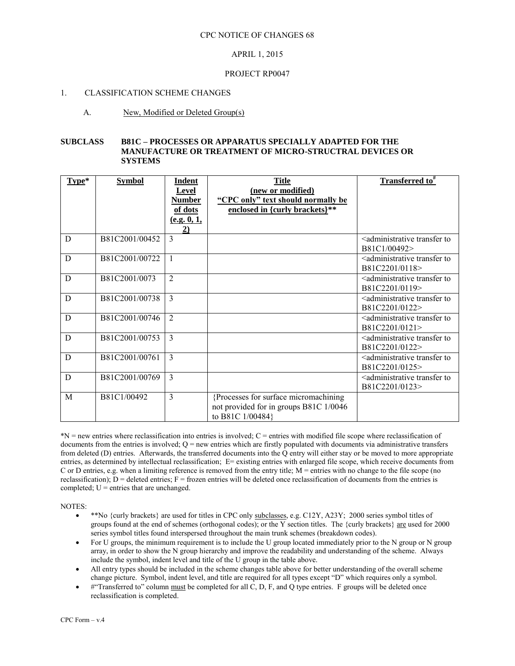## APRIL 1, 2015

### PROJECT RP0047

### 1. CLASSIFICATION SCHEME CHANGES

### A. New, Modified or Deleted Group(s)

#### **SUBCLASS B81C – PROCESSES OR APPARATUS SPECIALLY ADAPTED FOR THE MANUFACTURE OR TREATMENT OF MICRO-STRUCTRAL DEVICES OR SYSTEMS**

| Type* | <b>Symbol</b>  | Indent                        | <b>Title</b>                                            | Transferred to <sup>#</sup>                                           |
|-------|----------------|-------------------------------|---------------------------------------------------------|-----------------------------------------------------------------------|
|       |                | <b>Level</b><br><b>Number</b> | (new or modified)<br>"CPC only" text should normally be |                                                                       |
|       |                | of dots                       | enclosed in {curly brackets}**                          |                                                                       |
|       |                | (e.g. 0, 1,                   |                                                         |                                                                       |
|       |                | 2)                            |                                                         |                                                                       |
| D     | B81C2001/00452 | 3                             |                                                         | <administrative to<br="" transfer="">B81C1/00492&gt;</administrative> |
| D     | B81C2001/00722 |                               |                                                         | <administrative td="" to<="" transfer=""></administrative>            |
|       |                |                               |                                                         | B81C2201/0118>                                                        |
| D     | B81C2001/0073  | $\overline{2}$                |                                                         | <administrative td="" to<="" transfer=""></administrative>            |
|       |                |                               |                                                         | B81C2201/0119>                                                        |
| D     | B81C2001/00738 | $\mathcal{E}$                 |                                                         | <administrative td="" to<="" transfer=""></administrative>            |
|       |                |                               |                                                         | B81C2201/0122>                                                        |
| D     | B81C2001/00746 | $\overline{2}$                |                                                         | <administrative td="" to<="" transfer=""></administrative>            |
|       |                |                               |                                                         | B81C2201/0121>                                                        |
| D     | B81C2001/00753 | $\mathcal{E}$                 |                                                         | <administrative td="" to<="" transfer=""></administrative>            |
|       |                |                               |                                                         | B81C2201/0122>                                                        |
| D     | B81C2001/00761 | 3                             |                                                         | <administrative td="" to<="" transfer=""></administrative>            |
|       |                |                               |                                                         | B81C2201/0125>                                                        |
| D     | B81C2001/00769 | $\overline{3}$                |                                                         | <administrative td="" to<="" transfer=""></administrative>            |
|       |                |                               |                                                         | B81C2201/0123>                                                        |
| M     | B81C1/00492    | 3                             | {Processes for surface micromachining                   |                                                                       |
|       |                |                               | not provided for in groups B81C 1/0046                  |                                                                       |
|       |                |                               | to B81C 1/00484}                                        |                                                                       |

\*N = new entries where reclassification into entries is involved; C = entries with modified file scope where reclassification of documents from the entries is involved;  $Q =$  new entries which are firstly populated with documents via administrative transfers from deleted (D) entries. Afterwards, the transferred documents into the Q entry will either stay or be moved to more appropriate entries, as determined by intellectual reclassification; E= existing entries with enlarged file scope, which receive documents from C or D entries, e.g. when a limiting reference is removed from the entry title;  $M =$  entries with no change to the file scope (no reclassification);  $D =$  deleted entries;  $F =$  frozen entries will be deleted once reclassification of documents from the entries is completed;  $U =$  entries that are unchanged.

NOTES:

- \*\*No {curly brackets} are used for titles in CPC only subclasses, e.g. C12Y, A23Y; 2000 series symbol titles of groups found at the end of schemes (orthogonal codes); or the Y section titles. The {curly brackets} are used for 2000 series symbol titles found interspersed throughout the main trunk schemes (breakdown codes).
- For U groups, the minimum requirement is to include the U group located immediately prior to the N group or N group array, in order to show the N group hierarchy and improve the readability and understanding of the scheme. Always include the symbol, indent level and title of the U group in the table above.
- All entry types should be included in the scheme changes table above for better understanding of the overall scheme change picture. Symbol, indent level, and title are required for all types except "D" which requires only a symbol.
- #"Transferred to" column must be completed for all C, D, F, and Q type entries. F groups will be deleted once reclassification is completed.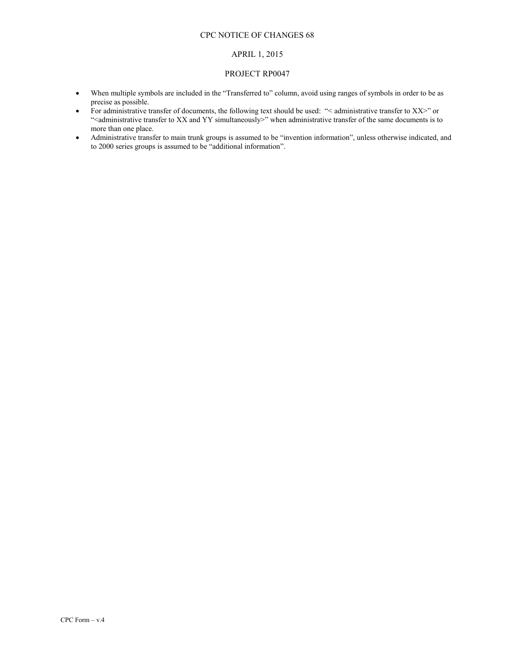## CPC NOTICE OF CHANGES 68

#### APRIL 1, 2015

#### PROJECT RP0047

- When multiple symbols are included in the "Transferred to" column, avoid using ranges of symbols in order to be as precise as possible.
- For administrative transfer of documents, the following text should be used: " $\lt$  administrative transfer to XX>" or "<administrative transfer to XX and YY simultaneously>" when administrative transfer of the same documents is to more than one place.
- Administrative transfer to main trunk groups is assumed to be "invention information", unless otherwise indicated, and to 2000 series groups is assumed to be "additional information".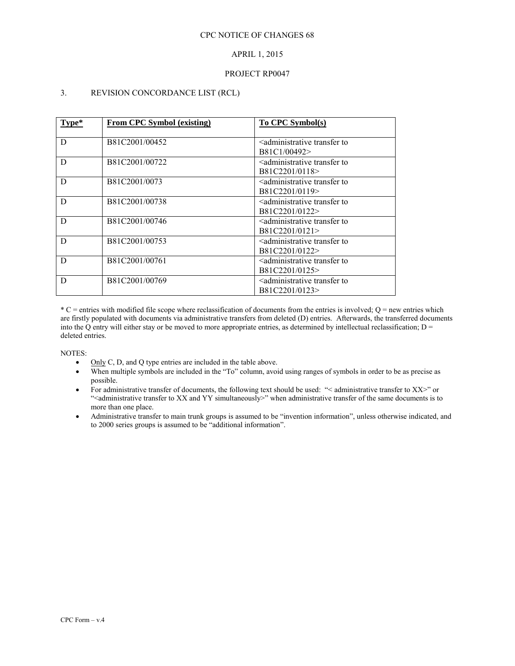# APRIL 1, 2015

## PROJECT RP0047

# 3. REVISION CONCORDANCE LIST (RCL)

| Type* | From CPC Symbol (existing) | To CPC Symbol(s)                                                        |
|-------|----------------------------|-------------------------------------------------------------------------|
| D     | B81C2001/00452             | <administrative to<br="" transfer="">B81C1/00492&gt;</administrative>   |
| D     | B81C2001/00722             | <administrative to<br="" transfer="">B81C2201/0118&gt;</administrative> |
| D     | B81C2001/0073              | <administrative to<br="" transfer="">B81C2201/0119&gt;</administrative> |
| D     | B81C2001/00738             | <administrative to<br="" transfer="">B81C2201/0122&gt;</administrative> |
| D     | B81C2001/00746             | <administrative to<br="" transfer="">B81C2201/0121&gt;</administrative> |
| D     | B81C2001/00753             | <administrative to<br="" transfer="">B81C2201/0122&gt;</administrative> |
| D     | B81C2001/00761             | <administrative to<br="" transfer="">B81C2201/0125&gt;</administrative> |
| D     | B81C2001/00769             | <administrative to<br="" transfer="">B81C2201/0123&gt;</administrative> |

 $*C$  = entries with modified file scope where reclassification of documents from the entries is involved;  $Q$  = new entries which are firstly populated with documents via administrative transfers from deleted (D) entries. Afterwards, the transferred documents into the Q entry will either stay or be moved to more appropriate entries, as determined by intellectual reclassification;  $D =$ deleted entries.

NOTES:

- Only C, D, and O type entries are included in the table above.
- When multiple symbols are included in the "To" column, avoid using ranges of symbols in order to be as precise as possible.
- For administrative transfer of documents, the following text should be used: "< administrative transfer to XX>" or "<administrative transfer to XX and YY simultaneously>" when administrative transfer of the same documents is to more than one place.
- Administrative transfer to main trunk groups is assumed to be "invention information", unless otherwise indicated, and to 2000 series groups is assumed to be "additional information".